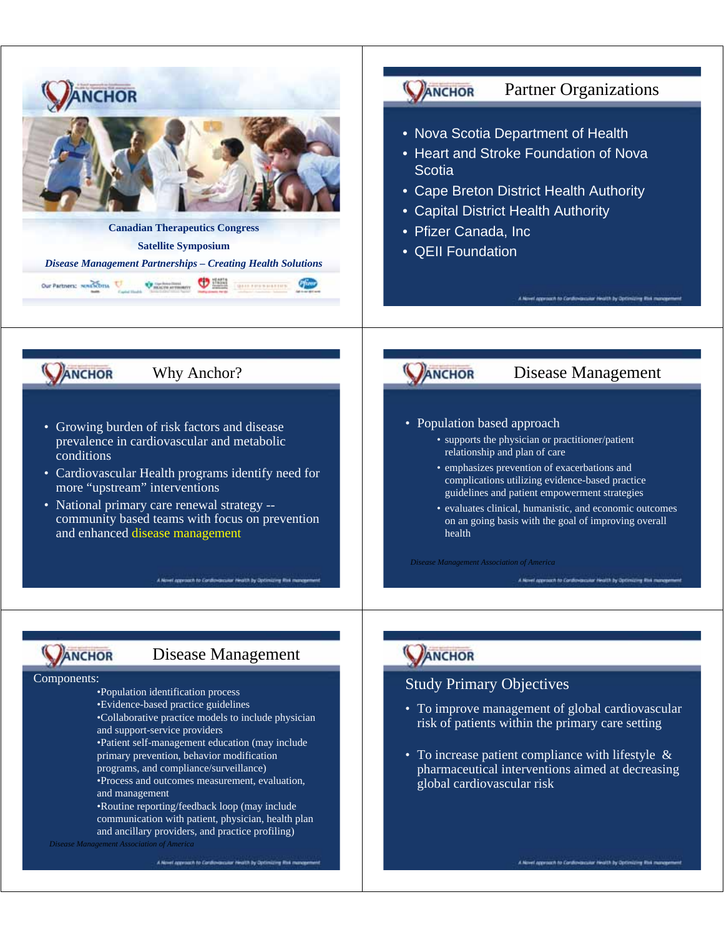

*Disease Management Association of America*

AN: sach to Continue

## sanh to Cards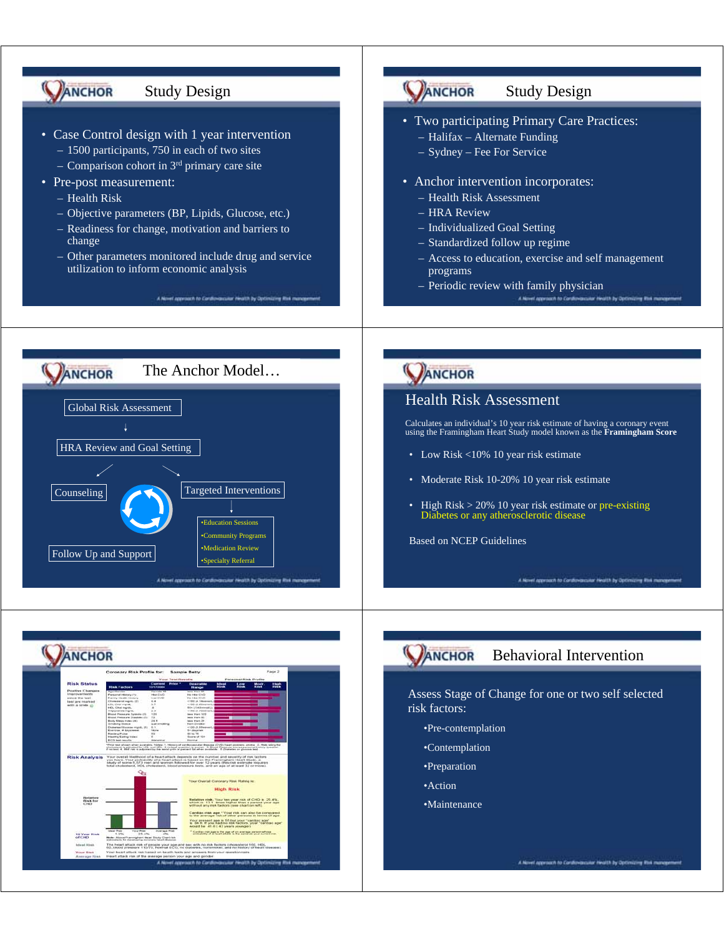

٨N el approach to Cordia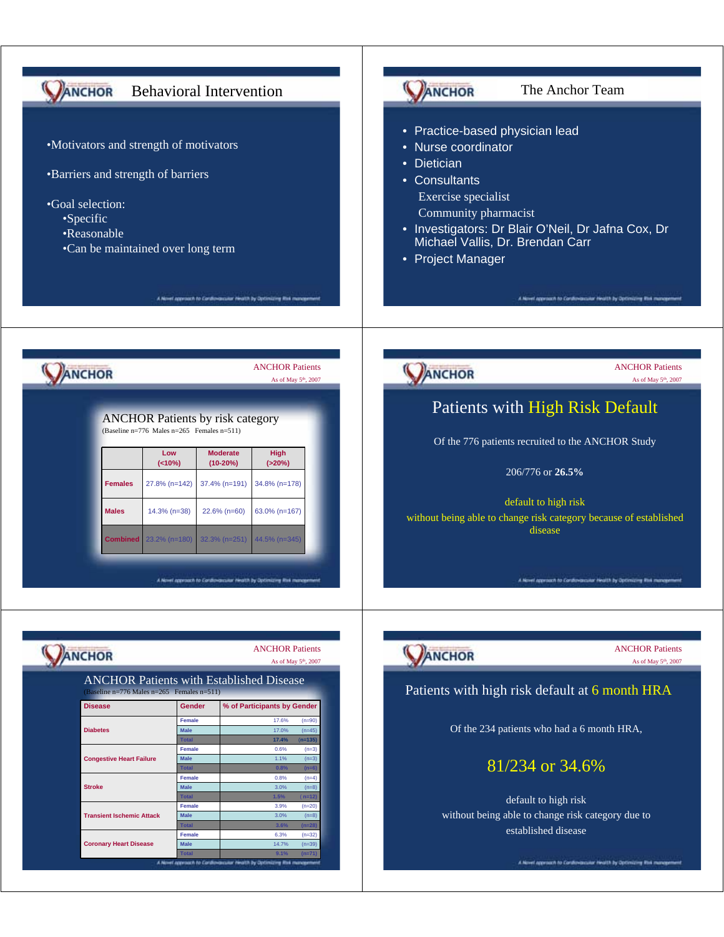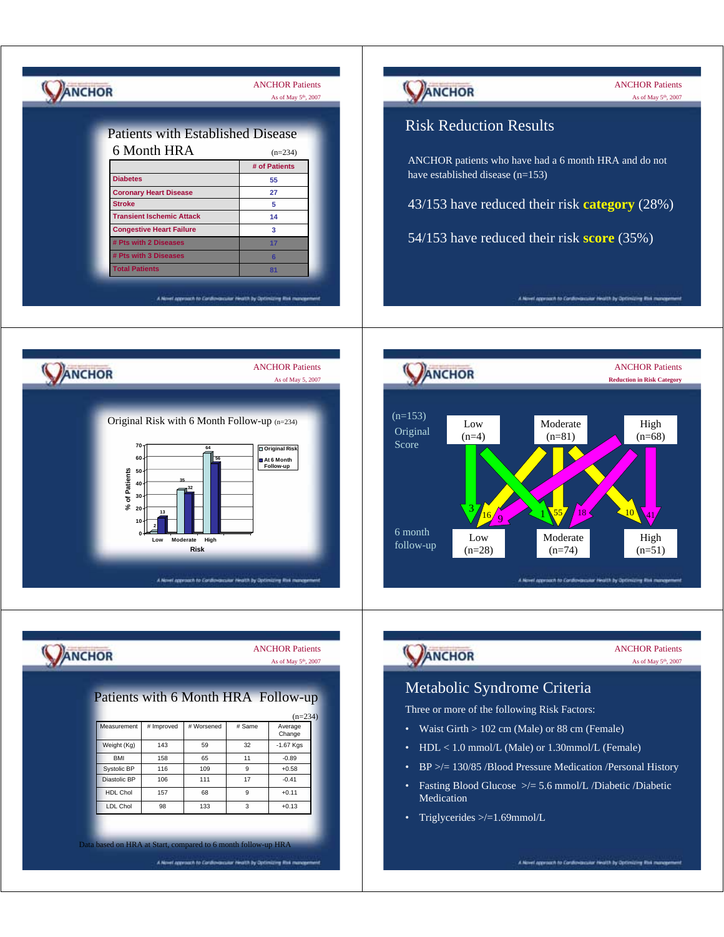| <b>Risk Reduction Results</b><br><b>Patients with Established Disease</b><br>6 Month HRA<br>$(n=234)$<br>ANCHOR patients who have had a 6 month HRA and do not<br># of Patients<br>have established disease (n=153)<br><b>Diabetes</b><br>55<br>27<br><b>Coronary Heart Disease</b><br>43/153 have reduced their risk category (28%)<br>5<br><b>Stroke</b><br><b>Transient Ischemic Attack</b><br>14<br><b>Congestive Heart Failure</b><br>3<br>54/153 have reduced their risk score (35%)<br># Pts with 2 Diseases<br>17<br># Pts with 3 Diseases<br>6 <sup>1</sup><br><b>Total Patients</b><br>81<br>A Novel approach to Cordiovarcular Health by Optimizing Rtvk manag<br>A Novel approach to Conditivisionital Health by Optimizing Risk manage<br><b>ANCHOR Patients</b><br><b>ANCHOR Patients</b><br>ANCHOR<br><b>ANCHOR</b><br>As of May 5, 2007<br><b>Reduction in Risk Category</b><br>$(n=153)$<br>Original Risk with 6 Month Follow-up (n=234)<br>Moderate<br>Low<br>High<br>Original<br>$(n=81)$<br>$(n=4)$<br>$(n=68)$<br>Score<br>70<br>64<br>Original Risk<br>60<br>At 6 Month<br>Follow-up<br>of Patients<br>50<br>40<br>30<br>گچ<br>20<br>18<br>13<br>$\overline{Q}$<br>10<br>6 month<br>Moderate<br>High<br>Low<br>Moderate<br>High<br>Low<br>follow-up<br>$(n=28)$<br><b>Risk</b><br>$(n=74)$<br>$(n=51)$<br>A Novel opproach to Condovisionist Health by Optimizing Risk management<br>A Novel approach to Condovarcular Health by Optimizing Rtsk management<br><b>ANCHOR Patients</b><br><b>ANCHOR Patients</b><br>ANCHOR<br><b>NCHOR</b><br>As of May 5 <sup>th</sup> , 2007<br>As of May 5 <sup>th</sup> , 2007<br>Metabolic Syndrome Criteria<br>Patients with 6 Month HRA Follow-up<br>Three or more of the following Risk Factors:<br>$(n=234)$<br>Measurement<br># Worsened<br># Improved<br># Same<br>Average<br>• Waist Girth > 102 cm (Male) or 88 cm (Female)<br>Change<br>143<br>59<br>32<br>Weight (Kg)<br>-1.67 Kgs<br>HDL < 1.0 mmol/L (Male) or 1.30mmol/L (Female)<br>٠<br>BMI<br>158<br>65<br>11<br>$-0.89$<br>$BP \geq 130/85$ /Blood Pressure Medication /Personal History<br>$\bullet$<br>Systolic BP<br>116<br>109<br>9<br>$+0.58$<br>17<br>Diastolic BP<br>106<br>111<br>$-0.41$<br>Fasting Blood Glucose $\ge$ /= 5.6 mmol/L /Diabetic /Diabetic<br>$\bullet$<br><b>HDL Chol</b><br>68<br>9<br>157<br>$+0.11$<br>Medication<br>LDL Chol<br>$\mathbf{3}$<br>98<br>133<br>$+0.13$<br>Triglycerides $\ge$ /=1.69mmol/L<br>٠<br>Data based on HRA at Start, compared to 6 month follow-up HRA | ANCHOR | <b>ANCHOR Patients</b><br>As of May 5 <sup>th</sup> , 2007 | ANCHOR | <b>ANCHOR Patients</b><br>As of May 5 <sup>th</sup> , 2007 |
|----------------------------------------------------------------------------------------------------------------------------------------------------------------------------------------------------------------------------------------------------------------------------------------------------------------------------------------------------------------------------------------------------------------------------------------------------------------------------------------------------------------------------------------------------------------------------------------------------------------------------------------------------------------------------------------------------------------------------------------------------------------------------------------------------------------------------------------------------------------------------------------------------------------------------------------------------------------------------------------------------------------------------------------------------------------------------------------------------------------------------------------------------------------------------------------------------------------------------------------------------------------------------------------------------------------------------------------------------------------------------------------------------------------------------------------------------------------------------------------------------------------------------------------------------------------------------------------------------------------------------------------------------------------------------------------------------------------------------------------------------------------------------------------------------------------------------------------------------------------------------------------------------------------------------------------------------------------------------------------------------------------------------------------------------------------------------------------------------------------------------------------------------------------------------------------------------------------------------------------------------------------------------------------------------------------------------------------------------------------------------------------------------------------------------------------------------------------------------------------------------------------------------------------|--------|------------------------------------------------------------|--------|------------------------------------------------------------|
|                                                                                                                                                                                                                                                                                                                                                                                                                                                                                                                                                                                                                                                                                                                                                                                                                                                                                                                                                                                                                                                                                                                                                                                                                                                                                                                                                                                                                                                                                                                                                                                                                                                                                                                                                                                                                                                                                                                                                                                                                                                                                                                                                                                                                                                                                                                                                                                                                                                                                                                                        |        |                                                            |        |                                                            |
|                                                                                                                                                                                                                                                                                                                                                                                                                                                                                                                                                                                                                                                                                                                                                                                                                                                                                                                                                                                                                                                                                                                                                                                                                                                                                                                                                                                                                                                                                                                                                                                                                                                                                                                                                                                                                                                                                                                                                                                                                                                                                                                                                                                                                                                                                                                                                                                                                                                                                                                                        |        |                                                            |        |                                                            |
|                                                                                                                                                                                                                                                                                                                                                                                                                                                                                                                                                                                                                                                                                                                                                                                                                                                                                                                                                                                                                                                                                                                                                                                                                                                                                                                                                                                                                                                                                                                                                                                                                                                                                                                                                                                                                                                                                                                                                                                                                                                                                                                                                                                                                                                                                                                                                                                                                                                                                                                                        |        |                                                            |        |                                                            |
|                                                                                                                                                                                                                                                                                                                                                                                                                                                                                                                                                                                                                                                                                                                                                                                                                                                                                                                                                                                                                                                                                                                                                                                                                                                                                                                                                                                                                                                                                                                                                                                                                                                                                                                                                                                                                                                                                                                                                                                                                                                                                                                                                                                                                                                                                                                                                                                                                                                                                                                                        |        |                                                            |        |                                                            |
|                                                                                                                                                                                                                                                                                                                                                                                                                                                                                                                                                                                                                                                                                                                                                                                                                                                                                                                                                                                                                                                                                                                                                                                                                                                                                                                                                                                                                                                                                                                                                                                                                                                                                                                                                                                                                                                                                                                                                                                                                                                                                                                                                                                                                                                                                                                                                                                                                                                                                                                                        |        |                                                            |        |                                                            |
|                                                                                                                                                                                                                                                                                                                                                                                                                                                                                                                                                                                                                                                                                                                                                                                                                                                                                                                                                                                                                                                                                                                                                                                                                                                                                                                                                                                                                                                                                                                                                                                                                                                                                                                                                                                                                                                                                                                                                                                                                                                                                                                                                                                                                                                                                                                                                                                                                                                                                                                                        |        |                                                            |        |                                                            |
|                                                                                                                                                                                                                                                                                                                                                                                                                                                                                                                                                                                                                                                                                                                                                                                                                                                                                                                                                                                                                                                                                                                                                                                                                                                                                                                                                                                                                                                                                                                                                                                                                                                                                                                                                                                                                                                                                                                                                                                                                                                                                                                                                                                                                                                                                                                                                                                                                                                                                                                                        |        |                                                            |        |                                                            |
|                                                                                                                                                                                                                                                                                                                                                                                                                                                                                                                                                                                                                                                                                                                                                                                                                                                                                                                                                                                                                                                                                                                                                                                                                                                                                                                                                                                                                                                                                                                                                                                                                                                                                                                                                                                                                                                                                                                                                                                                                                                                                                                                                                                                                                                                                                                                                                                                                                                                                                                                        |        |                                                            |        |                                                            |
|                                                                                                                                                                                                                                                                                                                                                                                                                                                                                                                                                                                                                                                                                                                                                                                                                                                                                                                                                                                                                                                                                                                                                                                                                                                                                                                                                                                                                                                                                                                                                                                                                                                                                                                                                                                                                                                                                                                                                                                                                                                                                                                                                                                                                                                                                                                                                                                                                                                                                                                                        |        |                                                            |        |                                                            |
|                                                                                                                                                                                                                                                                                                                                                                                                                                                                                                                                                                                                                                                                                                                                                                                                                                                                                                                                                                                                                                                                                                                                                                                                                                                                                                                                                                                                                                                                                                                                                                                                                                                                                                                                                                                                                                                                                                                                                                                                                                                                                                                                                                                                                                                                                                                                                                                                                                                                                                                                        |        |                                                            |        |                                                            |
|                                                                                                                                                                                                                                                                                                                                                                                                                                                                                                                                                                                                                                                                                                                                                                                                                                                                                                                                                                                                                                                                                                                                                                                                                                                                                                                                                                                                                                                                                                                                                                                                                                                                                                                                                                                                                                                                                                                                                                                                                                                                                                                                                                                                                                                                                                                                                                                                                                                                                                                                        |        |                                                            |        |                                                            |
|                                                                                                                                                                                                                                                                                                                                                                                                                                                                                                                                                                                                                                                                                                                                                                                                                                                                                                                                                                                                                                                                                                                                                                                                                                                                                                                                                                                                                                                                                                                                                                                                                                                                                                                                                                                                                                                                                                                                                                                                                                                                                                                                                                                                                                                                                                                                                                                                                                                                                                                                        |        |                                                            |        |                                                            |
|                                                                                                                                                                                                                                                                                                                                                                                                                                                                                                                                                                                                                                                                                                                                                                                                                                                                                                                                                                                                                                                                                                                                                                                                                                                                                                                                                                                                                                                                                                                                                                                                                                                                                                                                                                                                                                                                                                                                                                                                                                                                                                                                                                                                                                                                                                                                                                                                                                                                                                                                        |        |                                                            |        |                                                            |
|                                                                                                                                                                                                                                                                                                                                                                                                                                                                                                                                                                                                                                                                                                                                                                                                                                                                                                                                                                                                                                                                                                                                                                                                                                                                                                                                                                                                                                                                                                                                                                                                                                                                                                                                                                                                                                                                                                                                                                                                                                                                                                                                                                                                                                                                                                                                                                                                                                                                                                                                        |        |                                                            |        |                                                            |
|                                                                                                                                                                                                                                                                                                                                                                                                                                                                                                                                                                                                                                                                                                                                                                                                                                                                                                                                                                                                                                                                                                                                                                                                                                                                                                                                                                                                                                                                                                                                                                                                                                                                                                                                                                                                                                                                                                                                                                                                                                                                                                                                                                                                                                                                                                                                                                                                                                                                                                                                        |        |                                                            |        |                                                            |
|                                                                                                                                                                                                                                                                                                                                                                                                                                                                                                                                                                                                                                                                                                                                                                                                                                                                                                                                                                                                                                                                                                                                                                                                                                                                                                                                                                                                                                                                                                                                                                                                                                                                                                                                                                                                                                                                                                                                                                                                                                                                                                                                                                                                                                                                                                                                                                                                                                                                                                                                        |        |                                                            |        |                                                            |
|                                                                                                                                                                                                                                                                                                                                                                                                                                                                                                                                                                                                                                                                                                                                                                                                                                                                                                                                                                                                                                                                                                                                                                                                                                                                                                                                                                                                                                                                                                                                                                                                                                                                                                                                                                                                                                                                                                                                                                                                                                                                                                                                                                                                                                                                                                                                                                                                                                                                                                                                        |        |                                                            |        |                                                            |
|                                                                                                                                                                                                                                                                                                                                                                                                                                                                                                                                                                                                                                                                                                                                                                                                                                                                                                                                                                                                                                                                                                                                                                                                                                                                                                                                                                                                                                                                                                                                                                                                                                                                                                                                                                                                                                                                                                                                                                                                                                                                                                                                                                                                                                                                                                                                                                                                                                                                                                                                        |        |                                                            |        |                                                            |
|                                                                                                                                                                                                                                                                                                                                                                                                                                                                                                                                                                                                                                                                                                                                                                                                                                                                                                                                                                                                                                                                                                                                                                                                                                                                                                                                                                                                                                                                                                                                                                                                                                                                                                                                                                                                                                                                                                                                                                                                                                                                                                                                                                                                                                                                                                                                                                                                                                                                                                                                        |        |                                                            |        |                                                            |
|                                                                                                                                                                                                                                                                                                                                                                                                                                                                                                                                                                                                                                                                                                                                                                                                                                                                                                                                                                                                                                                                                                                                                                                                                                                                                                                                                                                                                                                                                                                                                                                                                                                                                                                                                                                                                                                                                                                                                                                                                                                                                                                                                                                                                                                                                                                                                                                                                                                                                                                                        |        |                                                            |        |                                                            |
|                                                                                                                                                                                                                                                                                                                                                                                                                                                                                                                                                                                                                                                                                                                                                                                                                                                                                                                                                                                                                                                                                                                                                                                                                                                                                                                                                                                                                                                                                                                                                                                                                                                                                                                                                                                                                                                                                                                                                                                                                                                                                                                                                                                                                                                                                                                                                                                                                                                                                                                                        |        |                                                            |        |                                                            |
|                                                                                                                                                                                                                                                                                                                                                                                                                                                                                                                                                                                                                                                                                                                                                                                                                                                                                                                                                                                                                                                                                                                                                                                                                                                                                                                                                                                                                                                                                                                                                                                                                                                                                                                                                                                                                                                                                                                                                                                                                                                                                                                                                                                                                                                                                                                                                                                                                                                                                                                                        |        |                                                            |        |                                                            |
|                                                                                                                                                                                                                                                                                                                                                                                                                                                                                                                                                                                                                                                                                                                                                                                                                                                                                                                                                                                                                                                                                                                                                                                                                                                                                                                                                                                                                                                                                                                                                                                                                                                                                                                                                                                                                                                                                                                                                                                                                                                                                                                                                                                                                                                                                                                                                                                                                                                                                                                                        |        |                                                            |        |                                                            |
|                                                                                                                                                                                                                                                                                                                                                                                                                                                                                                                                                                                                                                                                                                                                                                                                                                                                                                                                                                                                                                                                                                                                                                                                                                                                                                                                                                                                                                                                                                                                                                                                                                                                                                                                                                                                                                                                                                                                                                                                                                                                                                                                                                                                                                                                                                                                                                                                                                                                                                                                        |        |                                                            |        |                                                            |
|                                                                                                                                                                                                                                                                                                                                                                                                                                                                                                                                                                                                                                                                                                                                                                                                                                                                                                                                                                                                                                                                                                                                                                                                                                                                                                                                                                                                                                                                                                                                                                                                                                                                                                                                                                                                                                                                                                                                                                                                                                                                                                                                                                                                                                                                                                                                                                                                                                                                                                                                        |        |                                                            |        |                                                            |
|                                                                                                                                                                                                                                                                                                                                                                                                                                                                                                                                                                                                                                                                                                                                                                                                                                                                                                                                                                                                                                                                                                                                                                                                                                                                                                                                                                                                                                                                                                                                                                                                                                                                                                                                                                                                                                                                                                                                                                                                                                                                                                                                                                                                                                                                                                                                                                                                                                                                                                                                        |        |                                                            |        |                                                            |
|                                                                                                                                                                                                                                                                                                                                                                                                                                                                                                                                                                                                                                                                                                                                                                                                                                                                                                                                                                                                                                                                                                                                                                                                                                                                                                                                                                                                                                                                                                                                                                                                                                                                                                                                                                                                                                                                                                                                                                                                                                                                                                                                                                                                                                                                                                                                                                                                                                                                                                                                        |        |                                                            |        |                                                            |
|                                                                                                                                                                                                                                                                                                                                                                                                                                                                                                                                                                                                                                                                                                                                                                                                                                                                                                                                                                                                                                                                                                                                                                                                                                                                                                                                                                                                                                                                                                                                                                                                                                                                                                                                                                                                                                                                                                                                                                                                                                                                                                                                                                                                                                                                                                                                                                                                                                                                                                                                        |        |                                                            |        |                                                            |
|                                                                                                                                                                                                                                                                                                                                                                                                                                                                                                                                                                                                                                                                                                                                                                                                                                                                                                                                                                                                                                                                                                                                                                                                                                                                                                                                                                                                                                                                                                                                                                                                                                                                                                                                                                                                                                                                                                                                                                                                                                                                                                                                                                                                                                                                                                                                                                                                                                                                                                                                        |        |                                                            |        |                                                            |
|                                                                                                                                                                                                                                                                                                                                                                                                                                                                                                                                                                                                                                                                                                                                                                                                                                                                                                                                                                                                                                                                                                                                                                                                                                                                                                                                                                                                                                                                                                                                                                                                                                                                                                                                                                                                                                                                                                                                                                                                                                                                                                                                                                                                                                                                                                                                                                                                                                                                                                                                        |        |                                                            |        |                                                            |
|                                                                                                                                                                                                                                                                                                                                                                                                                                                                                                                                                                                                                                                                                                                                                                                                                                                                                                                                                                                                                                                                                                                                                                                                                                                                                                                                                                                                                                                                                                                                                                                                                                                                                                                                                                                                                                                                                                                                                                                                                                                                                                                                                                                                                                                                                                                                                                                                                                                                                                                                        |        |                                                            |        |                                                            |
|                                                                                                                                                                                                                                                                                                                                                                                                                                                                                                                                                                                                                                                                                                                                                                                                                                                                                                                                                                                                                                                                                                                                                                                                                                                                                                                                                                                                                                                                                                                                                                                                                                                                                                                                                                                                                                                                                                                                                                                                                                                                                                                                                                                                                                                                                                                                                                                                                                                                                                                                        |        |                                                            |        |                                                            |
|                                                                                                                                                                                                                                                                                                                                                                                                                                                                                                                                                                                                                                                                                                                                                                                                                                                                                                                                                                                                                                                                                                                                                                                                                                                                                                                                                                                                                                                                                                                                                                                                                                                                                                                                                                                                                                                                                                                                                                                                                                                                                                                                                                                                                                                                                                                                                                                                                                                                                                                                        |        |                                                            |        |                                                            |
|                                                                                                                                                                                                                                                                                                                                                                                                                                                                                                                                                                                                                                                                                                                                                                                                                                                                                                                                                                                                                                                                                                                                                                                                                                                                                                                                                                                                                                                                                                                                                                                                                                                                                                                                                                                                                                                                                                                                                                                                                                                                                                                                                                                                                                                                                                                                                                                                                                                                                                                                        |        |                                                            |        |                                                            |
|                                                                                                                                                                                                                                                                                                                                                                                                                                                                                                                                                                                                                                                                                                                                                                                                                                                                                                                                                                                                                                                                                                                                                                                                                                                                                                                                                                                                                                                                                                                                                                                                                                                                                                                                                                                                                                                                                                                                                                                                                                                                                                                                                                                                                                                                                                                                                                                                                                                                                                                                        |        |                                                            |        |                                                            |
|                                                                                                                                                                                                                                                                                                                                                                                                                                                                                                                                                                                                                                                                                                                                                                                                                                                                                                                                                                                                                                                                                                                                                                                                                                                                                                                                                                                                                                                                                                                                                                                                                                                                                                                                                                                                                                                                                                                                                                                                                                                                                                                                                                                                                                                                                                                                                                                                                                                                                                                                        |        |                                                            |        |                                                            |
|                                                                                                                                                                                                                                                                                                                                                                                                                                                                                                                                                                                                                                                                                                                                                                                                                                                                                                                                                                                                                                                                                                                                                                                                                                                                                                                                                                                                                                                                                                                                                                                                                                                                                                                                                                                                                                                                                                                                                                                                                                                                                                                                                                                                                                                                                                                                                                                                                                                                                                                                        |        |                                                            |        |                                                            |
|                                                                                                                                                                                                                                                                                                                                                                                                                                                                                                                                                                                                                                                                                                                                                                                                                                                                                                                                                                                                                                                                                                                                                                                                                                                                                                                                                                                                                                                                                                                                                                                                                                                                                                                                                                                                                                                                                                                                                                                                                                                                                                                                                                                                                                                                                                                                                                                                                                                                                                                                        |        |                                                            |        |                                                            |
|                                                                                                                                                                                                                                                                                                                                                                                                                                                                                                                                                                                                                                                                                                                                                                                                                                                                                                                                                                                                                                                                                                                                                                                                                                                                                                                                                                                                                                                                                                                                                                                                                                                                                                                                                                                                                                                                                                                                                                                                                                                                                                                                                                                                                                                                                                                                                                                                                                                                                                                                        |        |                                                            |        |                                                            |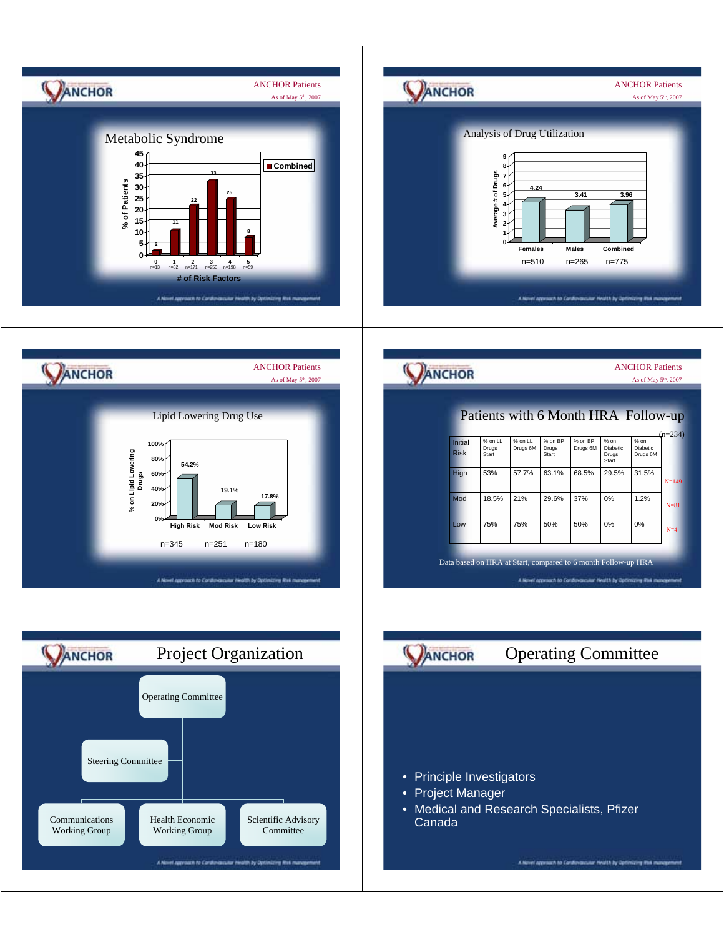